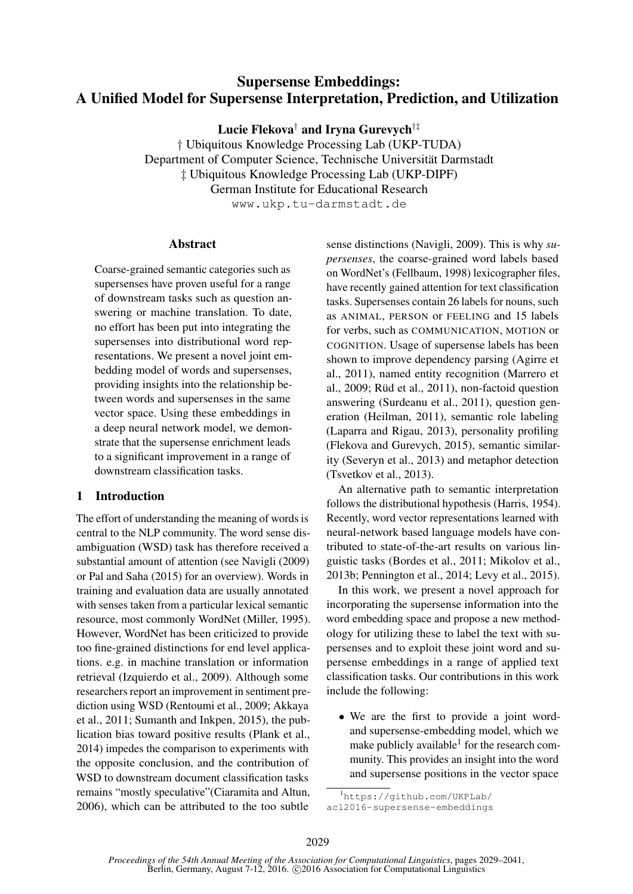# Supersense Embeddings: A Unified Model for Supersense Interpretation, Prediction, and Utilization

Lucie Flekova† and Iryna Gurevych†‡

† Ubiquitous Knowledge Processing Lab (UKP-TUDA) Department of Computer Science, Technische Universität Darmstadt ‡ Ubiquitous Knowledge Processing Lab (UKP-DIPF) German Institute for Educational Research www.ukp.tu-darmstadt.de

### Abstract

Coarse-grained semantic categories such as supersenses have proven useful for a range of downstream tasks such as question answering or machine translation. To date, no effort has been put into integrating the supersenses into distributional word representations. We present a novel joint embedding model of words and supersenses, providing insights into the relationship between words and supersenses in the same vector space. Using these embeddings in a deep neural network model, we demonstrate that the supersense enrichment leads to a significant improvement in a range of downstream classification tasks.

# 1 Introduction

The effort of understanding the meaning of words is central to the NLP community. The word sense disambiguation (WSD) task has therefore received a substantial amount of attention (see Navigli (2009) or Pal and Saha (2015) for an overview). Words in training and evaluation data are usually annotated with senses taken from a particular lexical semantic resource, most commonly WordNet (Miller, 1995). However, WordNet has been criticized to provide too fine-grained distinctions for end level applications. e.g. in machine translation or information retrieval (Izquierdo et al., 2009). Although some researchers report an improvement in sentiment prediction using WSD (Rentoumi et al., 2009; Akkaya et al., 2011; Sumanth and Inkpen, 2015), the publication bias toward positive results (Plank et al., 2014) impedes the comparison to experiments with the opposite conclusion, and the contribution of WSD to downstream document classification tasks remains "mostly speculative"(Ciaramita and Altun, 2006), which can be attributed to the too subtle

sense distinctions (Navigli, 2009). This is why *supersenses*, the coarse-grained word labels based on WordNet's (Fellbaum, 1998) lexicographer files, have recently gained attention for text classification tasks. Supersenses contain 26 labels for nouns, such as ANIMAL, PERSON or FEELING and 15 labels for verbs, such as COMMUNICATION, MOTION or COGNITION. Usage of supersense labels has been shown to improve dependency parsing (Agirre et al., 2011), named entity recognition (Marrero et al., 2009; Rüd et al., 2011), non-factoid question answering (Surdeanu et al., 2011), question generation (Heilman, 2011), semantic role labeling (Laparra and Rigau, 2013), personality profiling (Flekova and Gurevych, 2015), semantic similarity (Severyn et al., 2013) and metaphor detection (Tsvetkov et al., 2013).

An alternative path to semantic interpretation follows the distributional hypothesis (Harris, 1954). Recently, word vector representations learned with neural-network based language models have contributed to state-of-the-art results on various linguistic tasks (Bordes et al., 2011; Mikolov et al., 2013b; Pennington et al., 2014; Levy et al., 2015).

In this work, we present a novel approach for incorporating the supersense information into the word embedding space and propose a new methodology for utilizing these to label the text with supersenses and to exploit these joint word and supersense embeddings in a range of applied text classification tasks. Our contributions in this work include the following:

• We are the first to provide a joint wordand supersense-embedding model, which we make publicly available $<sup>1</sup>$  for the research com-</sup> munity. This provides an insight into the word and supersense positions in the vector space

<sup>1</sup>https://github.com/UKPLab/ acl2016-supersense-embeddings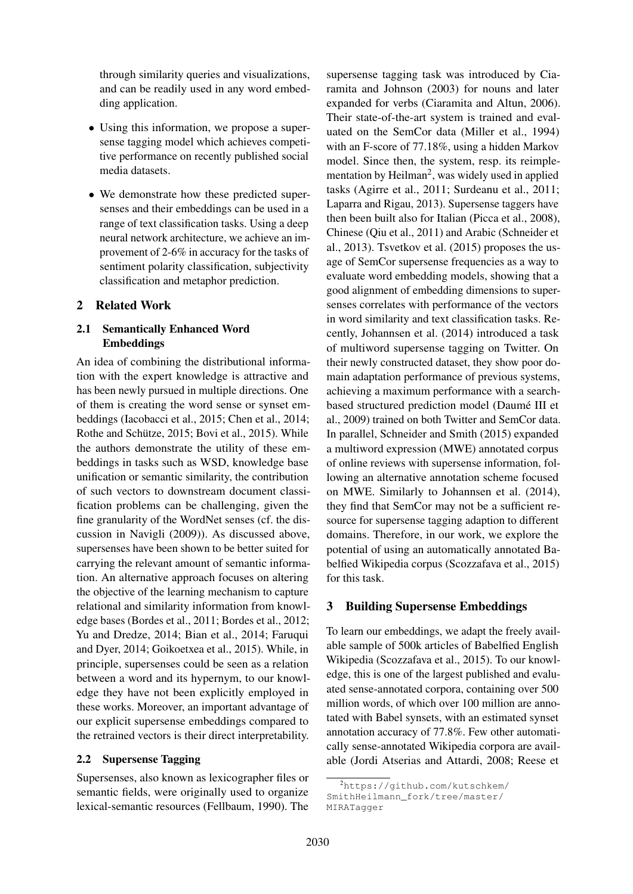through similarity queries and visualizations, and can be readily used in any word embedding application.

- Using this information, we propose a supersense tagging model which achieves competitive performance on recently published social media datasets.
- We demonstrate how these predicted supersenses and their embeddings can be used in a range of text classification tasks. Using a deep neural network architecture, we achieve an improvement of 2-6% in accuracy for the tasks of sentiment polarity classification, subjectivity classification and metaphor prediction.

# 2 Related Work

# 2.1 Semantically Enhanced Word Embeddings

An idea of combining the distributional information with the expert knowledge is attractive and has been newly pursued in multiple directions. One of them is creating the word sense or synset embeddings (Iacobacci et al., 2015; Chen et al., 2014; Rothe and Schütze, 2015; Bovi et al., 2015). While the authors demonstrate the utility of these embeddings in tasks such as WSD, knowledge base unification or semantic similarity, the contribution of such vectors to downstream document classification problems can be challenging, given the fine granularity of the WordNet senses (cf. the discussion in Navigli (2009)). As discussed above, supersenses have been shown to be better suited for carrying the relevant amount of semantic information. An alternative approach focuses on altering the objective of the learning mechanism to capture relational and similarity information from knowledge bases (Bordes et al., 2011; Bordes et al., 2012; Yu and Dredze, 2014; Bian et al., 2014; Faruqui and Dyer, 2014; Goikoetxea et al., 2015). While, in principle, supersenses could be seen as a relation between a word and its hypernym, to our knowledge they have not been explicitly employed in these works. Moreover, an important advantage of our explicit supersense embeddings compared to the retrained vectors is their direct interpretability.

# 2.2 Supersense Tagging

Supersenses, also known as lexicographer files or semantic fields, were originally used to organize lexical-semantic resources (Fellbaum, 1990). The

supersense tagging task was introduced by Ciaramita and Johnson (2003) for nouns and later expanded for verbs (Ciaramita and Altun, 2006). Their state-of-the-art system is trained and evaluated on the SemCor data (Miller et al., 1994) with an F-score of 77.18%, using a hidden Markov model. Since then, the system, resp. its reimplementation by Heilman<sup>2</sup>, was widely used in applied tasks (Agirre et al., 2011; Surdeanu et al., 2011; Laparra and Rigau, 2013). Supersense taggers have then been built also for Italian (Picca et al., 2008), Chinese (Qiu et al., 2011) and Arabic (Schneider et al., 2013). Tsvetkov et al. (2015) proposes the usage of SemCor supersense frequencies as a way to evaluate word embedding models, showing that a good alignment of embedding dimensions to supersenses correlates with performance of the vectors in word similarity and text classification tasks. Recently, Johannsen et al. (2014) introduced a task of multiword supersense tagging on Twitter. On their newly constructed dataset, they show poor domain adaptation performance of previous systems, achieving a maximum performance with a searchbased structured prediction model (Daumé III et al., 2009) trained on both Twitter and SemCor data. In parallel, Schneider and Smith (2015) expanded a multiword expression (MWE) annotated corpus of online reviews with supersense information, following an alternative annotation scheme focused on MWE. Similarly to Johannsen et al. (2014), they find that SemCor may not be a sufficient resource for supersense tagging adaption to different domains. Therefore, in our work, we explore the potential of using an automatically annotated Babelfied Wikipedia corpus (Scozzafava et al., 2015) for this task.

# 3 Building Supersense Embeddings

To learn our embeddings, we adapt the freely available sample of 500k articles of Babelfied English Wikipedia (Scozzafava et al., 2015). To our knowledge, this is one of the largest published and evaluated sense-annotated corpora, containing over 500 million words, of which over 100 million are annotated with Babel synsets, with an estimated synset annotation accuracy of 77.8%. Few other automatically sense-annotated Wikipedia corpora are available (Jordi Atserias and Attardi, 2008; Reese et

<sup>2</sup>https://github.com/kutschkem/ SmithHeilmann\_fork/tree/master/ MIRATagger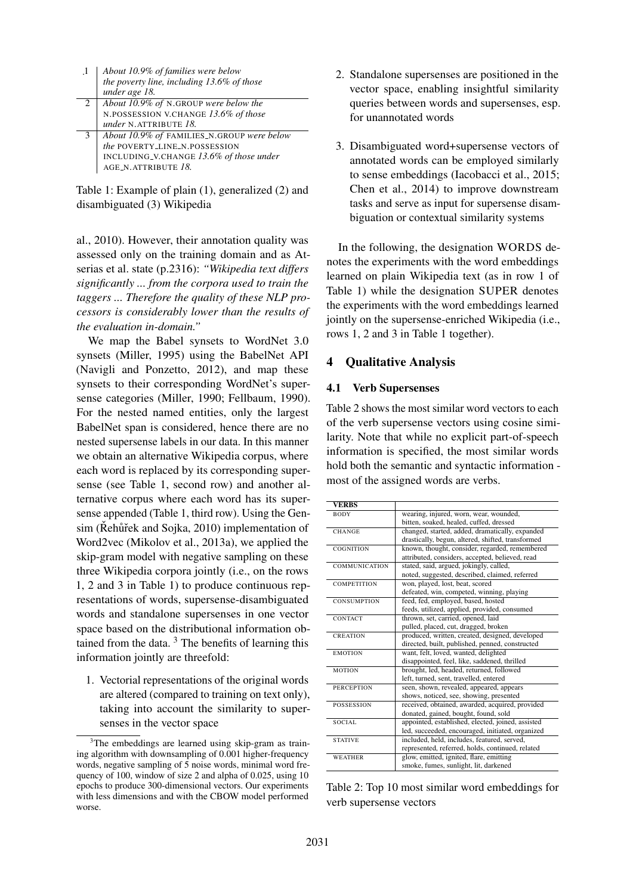| $\cdot$ 1 | About 10.9% of families were below         |
|-----------|--------------------------------------------|
|           | the poverty line, including 13.6% of those |
|           | under age 18.                              |
|           | About 10.9% of N.GROUP were below the      |
|           | N.POSSESSION V.CHANGE 13.6% of those       |
|           | under N.ATTRIBUTE 18.                      |
|           | About 10.9% of FAMILIES_N.GROUP were below |
|           | the POVERTY_LINE_N.POSSESSION              |
|           | INCLUDING_V.CHANGE 13.6% of those under    |
|           | AGE_N.ATTRIBUTE 18.                        |

Table 1: Example of plain (1), generalized (2) and disambiguated (3) Wikipedia

al., 2010). However, their annotation quality was assessed only on the training domain and as Atserias et al. state (p.2316): *"Wikipedia text differs significantly ... from the corpora used to train the taggers ... Therefore the quality of these NLP processors is considerably lower than the results of the evaluation in-domain."*

We map the Babel synsets to WordNet 3.0 synsets (Miller, 1995) using the BabelNet API (Navigli and Ponzetto, 2012), and map these synsets to their corresponding WordNet's supersense categories (Miller, 1990; Fellbaum, 1990). For the nested named entities, only the largest BabelNet span is considered, hence there are no nested supersense labels in our data. In this manner we obtain an alternative Wikipedia corpus, where each word is replaced by its corresponding supersense (see Table 1, second row) and another alternative corpus where each word has its supersense appended (Table 1, third row). Using the Gensim (Řehůřek and Sojka, 2010) implementation of Word2vec (Mikolov et al., 2013a), we applied the skip-gram model with negative sampling on these three Wikipedia corpora jointly (i.e., on the rows 1, 2 and 3 in Table 1) to produce continuous representations of words, supersense-disambiguated words and standalone supersenses in one vector space based on the distributional information obtained from the data.  $3$  The benefits of learning this information jointly are threefold:

1. Vectorial representations of the original words are altered (compared to training on text only), taking into account the similarity to supersenses in the vector space

- 2. Standalone supersenses are positioned in the vector space, enabling insightful similarity queries between words and supersenses, esp. for unannotated words
- 3. Disambiguated word+supersense vectors of annotated words can be employed similarly to sense embeddings (Iacobacci et al., 2015; Chen et al., 2014) to improve downstream tasks and serve as input for supersense disambiguation or contextual similarity systems

In the following, the designation WORDS denotes the experiments with the word embeddings learned on plain Wikipedia text (as in row 1 of Table 1) while the designation SUPER denotes the experiments with the word embeddings learned jointly on the supersense-enriched Wikipedia (i.e., rows 1, 2 and 3 in Table 1 together).

### 4 Qualitative Analysis

#### 4.1 Verb Supersenses

Table 2 shows the most similar word vectors to each of the verb supersense vectors using cosine similarity. Note that while no explicit part-of-speech information is specified, the most similar words hold both the semantic and syntactic information most of the assigned words are verbs.

| <b>VERBS</b>         |                                                   |
|----------------------|---------------------------------------------------|
| <b>BODY</b>          | wearing, injured, worn, wear, wounded,            |
|                      | bitten, soaked, healed, cuffed, dressed           |
| <b>CHANGE</b>        | changed, started, added, dramatically, expanded   |
|                      | drastically, begun, altered, shifted, transformed |
| COGNITION            | known, thought, consider, regarded, remembered    |
|                      | attributed, considers, accepted, believed, read   |
| <b>COMMUNICATION</b> | stated, said, argued, jokingly, called,           |
|                      | noted, suggested, described, claimed, referred    |
| <b>COMPETITION</b>   | won, played, lost, beat, scored                   |
|                      | defeated, win, competed, winning, playing         |
| <b>CONSUMPTION</b>   | feed, fed, employed, based, hosted                |
|                      | feeds, utilized, applied, provided, consumed      |
| <b>CONTACT</b>       | thrown, set, carried, opened, laid                |
|                      | pulled, placed, cut, dragged, broken              |
| <b>CREATION</b>      | produced, written, created, designed, developed   |
|                      | directed, built, published, penned, constructed   |
| <b>EMOTION</b>       | want, felt, loved, wanted, delighted              |
|                      | disappointed, feel, like, saddened, thrilled      |
| <b>MOTION</b>        | brought, led, headed, returned, followed          |
|                      | left, turned, sent, travelled, entered            |
| <b>PERCEPTION</b>    | seen, shown, revealed, appeared, appears          |
|                      | shows, noticed, see, showing, presented           |
| <b>POSSESSION</b>    | received, obtained, awarded, acquired, provided   |
|                      | donated, gained, bought, found, sold              |
| SOCIAL.              | appointed, established, elected, joined, assisted |
|                      | led, succeeded, encouraged, initiated, organized  |
| <b>STATIVE</b>       | included, held, includes, featured, served,       |
|                      | represented, referred, holds, continued, related  |
| <b>WEATHER</b>       | glow, emitted, ignited, flare, emitting           |
|                      | smoke, fumes, sunlight, lit, darkened             |

Table 2: Top 10 most similar word embeddings for verb supersense vectors

<sup>&</sup>lt;sup>3</sup>The embeddings are learned using skip-gram as training algorithm with downsampling of 0.001 higher-frequency words, negative sampling of 5 noise words, minimal word frequency of 100, window of size 2 and alpha of 0.025, using 10 epochs to produce 300-dimensional vectors. Our experiments with less dimensions and with the CBOW model performed worse.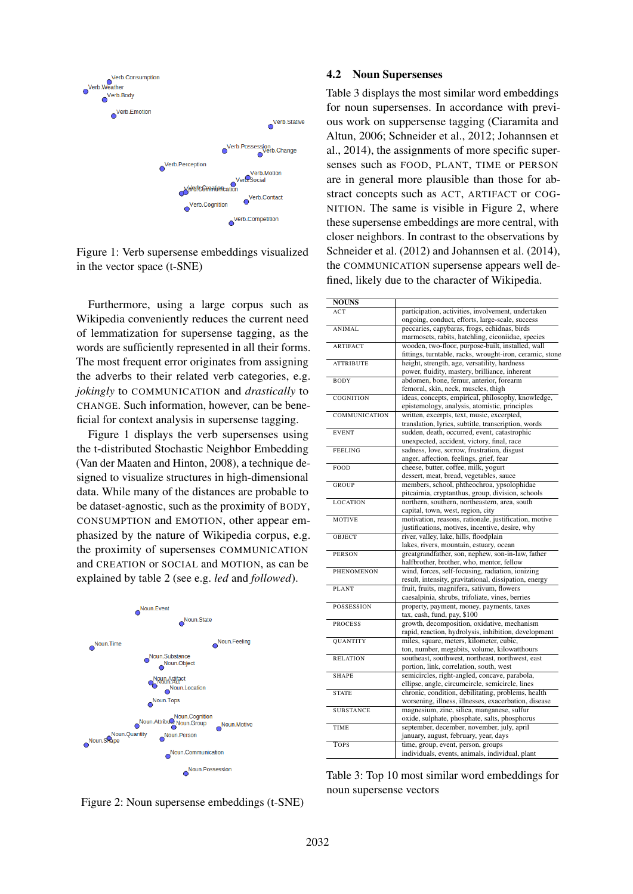

Figure 1: Verb supersense embeddings visualized in the vector space (t-SNE)

Furthermore, using a large corpus such as Wikipedia conveniently reduces the current need of lemmatization for supersense tagging, as the words are sufficiently represented in all their forms. The most frequent error originates from assigning the adverbs to their related verb categories, e.g. *jokingly* to COMMUNICATION and *drastically* to CHANGE. Such information, however, can be beneficial for context analysis in supersense tagging.

Figure 1 displays the verb supersenses using the t-distributed Stochastic Neighbor Embedding (Van der Maaten and Hinton, 2008), a technique designed to visualize structures in high-dimensional data. While many of the distances are probable to be dataset-agnostic, such as the proximity of BODY, CONSUMPTION and EMOTION, other appear emphasized by the nature of Wikipedia corpus, e.g. the proximity of supersenses COMMUNICATION and CREATION or SOCIAL and MOTION, as can be explained by table 2 (see e.g. *led* and *followed*).



Figure 2: Noun supersense embeddings (t-SNE)

#### 4.2 Noun Supersenses

Table 3 displays the most similar word embeddings for noun supersenses. In accordance with previous work on suppersense tagging (Ciaramita and Altun, 2006; Schneider et al., 2012; Johannsen et al., 2014), the assignments of more specific supersenses such as FOOD, PLANT, TIME or PERSON are in general more plausible than those for abstract concepts such as ACT, ARTIFACT or COG-NITION. The same is visible in Figure 2, where these supersense embeddings are more central, with closer neighbors. In contrast to the observations by Schneider et al. (2012) and Johannsen et al. (2014), the COMMUNICATION supersense appears well defined, likely due to the character of Wikipedia.

| <b>NOUNS</b>     |                                                          |
|------------------|----------------------------------------------------------|
| ACT              | participation, activities, involvement, undertaken       |
|                  | ongoing, conduct, efforts, large-scale, success          |
| ANIMAL           | peccaries, capybaras, frogs, echidnas, birds             |
|                  | marmosets, rabits, hatchling, ciconiidae, species        |
| <b>ARTIFACT</b>  | wooden, two-floor, purpose-built, installed, wall        |
|                  | fittings, turntable, racks, wrought-iron, ceramic, stone |
| <b>ATTRIBUTE</b> | height, strength, age, versatility, hardness             |
|                  | power, fluidity, mastery, brilliance, inherent           |
| <b>BODY</b>      | abdomen, bone, femur, anterior, forearm                  |
|                  | femoral, skin, neck, muscles, thigh                      |
| COGNITION        | ideas, concepts, empirical, philosophy, knowledge,       |
|                  | epistemology, analysis, atomistic, principles            |
| COMMUNICATION    | written, excerpts, text, music, excerpted,               |
|                  | translation, lyrics, subtitle, transcription, words      |
| <b>EVENT</b>     | sudden, death, occurred, event, catastrophic             |
|                  | unexpected, accident, victory, final, race               |
| <b>FEELING</b>   | sadness, love, sorrow, frustration, disgust              |
|                  | anger, affection, feelings, grief, fear                  |
| FOOD             | cheese, butter, coffee, milk, yogurt                     |
|                  | dessert, meat, bread, vegetables, sauce                  |
| <b>GROUP</b>     | members, school, phtheochroa, ypsolophidae               |
|                  | pitcairnia, cryptanthus, group, division, schools        |
| <b>LOCATION</b>  | northern, southern, northeastern, area, south            |
|                  | capital, town, west, region, city                        |
| <b>MOTIVE</b>    | motivation, reasons, rationale, justification, motive    |
|                  | justifications, motives, incentive, desire, why          |
| OBJECT           | river, valley, lake, hills, floodplain                   |
|                  | lakes, rivers, mountain, estuary, ocean                  |
| <b>PERSON</b>    | greatgrandfather, son, nephew, son-in-law, father        |
|                  | halfbrother, brother, who, mentor, fellow                |
| PHENOMENON       | wind, forces, self-focusing, radiation, ionizing         |
|                  | result, intensity, gravitational, dissipation, energy    |
| <b>PLANT</b>     | fruit, fruits, magnifera, sativum, flowers               |
|                  | caesalpinia, shrubs, trifoliate, vines, berries          |
| POSSESSION       | property, payment, money, payments, taxes                |
|                  | tax, cash, fund, pay, \$100                              |
| <b>PROCESS</b>   | growth, decomposition, oxidative, mechanism              |
|                  | rapid, reaction, hydrolysis, inhibition, development     |
| <b>QUANTITY</b>  | miles, square, meters, kilometer, cubic,                 |
|                  | ton, number, megabits, volume, kilowatthours             |
| <b>RELATION</b>  | southeast, southwest, northeast, northwest, east         |
|                  | portion, link, correlation, south, west                  |
| <b>SHAPE</b>     | semicircles, right-angled, concave, parabola,            |
|                  | ellipse, angle, circumcircle, semicircle, lines          |
| <b>STATE</b>     | chronic, condition, debilitating, problems, health       |
|                  | worsening, illness, illnesses, exacerbation, disease     |
| <b>SUBSTANCE</b> | magnesium, zinc, silica, manganese, sulfur               |
|                  | oxide, sulphate, phosphate, salts, phosphorus            |
| TIME             | september, december, november, july, april               |
|                  | january, august, february, year, days                    |
| <b>TOPS</b>      | time, group, event, person, groups                       |
|                  | individuals, events, animals, individual, plant          |
|                  |                                                          |

Table 3: Top 10 most similar word embeddings for noun supersense vectors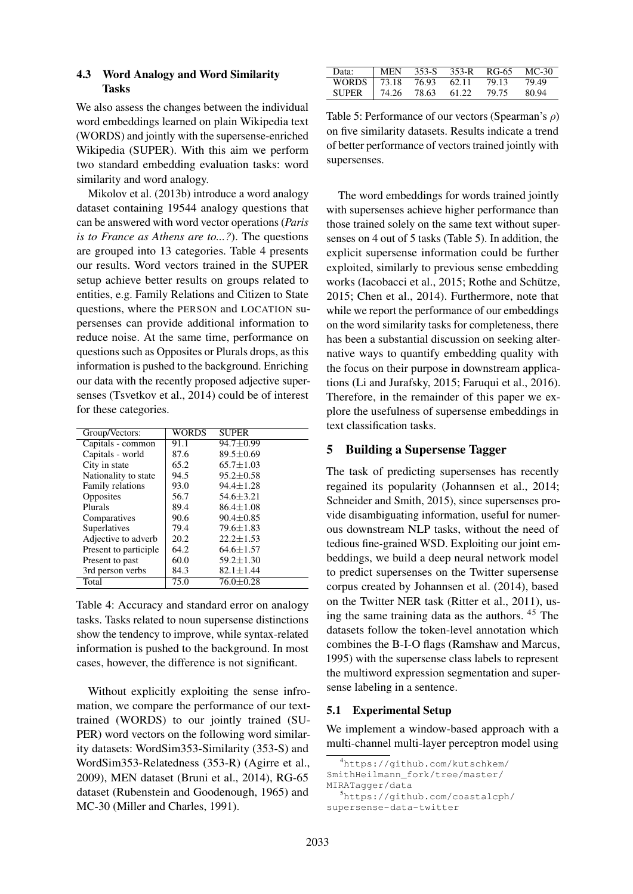### 4.3 Word Analogy and Word Similarity Tasks

We also assess the changes between the individual word embeddings learned on plain Wikipedia text (WORDS) and jointly with the supersense-enriched Wikipedia (SUPER). With this aim we perform two standard embedding evaluation tasks: word similarity and word analogy.

Mikolov et al. (2013b) introduce a word analogy dataset containing 19544 analogy questions that can be answered with word vector operations (*Paris is to France as Athens are to...?*). The questions are grouped into 13 categories. Table 4 presents our results. Word vectors trained in the SUPER setup achieve better results on groups related to entities, e.g. Family Relations and Citizen to State questions, where the PERSON and LOCATION supersenses can provide additional information to reduce noise. At the same time, performance on questions such as Opposites or Plurals drops, as this information is pushed to the background. Enriching our data with the recently proposed adjective supersenses (Tsvetkov et al., 2014) could be of interest for these categories.

| Group/Vectors:         | <b>WORDS</b> | <b>SUPER</b>  |
|------------------------|--------------|---------------|
| Capitals - common      | 91.1         | $94.7 + 0.99$ |
| Capitals - world       | 87.6         | $89.5 + 0.69$ |
| City in state          | 65.2         | $65.7 + 1.03$ |
| Nationality to state   | 94.5         | $95.2 + 0.58$ |
| Family relations       | 93.0         | $94.4 + 1.28$ |
| Opposites              | 56.7         | $54.6 + 3.21$ |
| Plurals                | 89.4         | $86.4 + 1.08$ |
| Comparatives           | 90.6         | $90.4 + 0.85$ |
| Superlatives           | 79.4         | $79.6 + 1.83$ |
| Adjective to adverb    | 20.2         | $22.2 + 1.53$ |
| Present to participle. | 64.2         | $64.6 + 1.57$ |
| Present to past        | 60.0         | $59.2 + 1.30$ |
| 3rd person verbs       | 84.3         | $82.1 + 1.44$ |
| Total                  | 75.0         | $76.0 + 0.28$ |

Table 4: Accuracy and standard error on analogy tasks. Tasks related to noun supersense distinctions show the tendency to improve, while syntax-related information is pushed to the background. In most cases, however, the difference is not significant.

Without explicitly exploiting the sense infromation, we compare the performance of our texttrained (WORDS) to our jointly trained (SU-PER) word vectors on the following word similarity datasets: WordSim353-Similarity (353-S) and WordSim353-Relatedness (353-R) (Agirre et al., 2009), MEN dataset (Bruni et al., 2014), RG-65 dataset (Rubenstein and Goodenough, 1965) and MC-30 (Miller and Charles, 1991).

| Data:               | MEN    |       | 353-S 353-R | RG-65 | MC-30 |
|---------------------|--------|-------|-------------|-------|-------|
| WORDS   73.18 76.93 |        |       | 62.11       | 79.13 | 79.49 |
| <b>SUPER</b>        | 174.26 | 78.63 | 61.22       | 79.75 | 80.94 |

Table 5: Performance of our vectors (Spearman's  $\rho$ ) on five similarity datasets. Results indicate a trend of better performance of vectors trained jointly with supersenses.

The word embeddings for words trained jointly with supersenses achieve higher performance than those trained solely on the same text without supersenses on 4 out of 5 tasks (Table 5). In addition, the explicit supersense information could be further exploited, similarly to previous sense embedding works (Iacobacci et al., 2015; Rothe and Schütze, 2015; Chen et al., 2014). Furthermore, note that while we report the performance of our embeddings on the word similarity tasks for completeness, there has been a substantial discussion on seeking alternative ways to quantify embedding quality with the focus on their purpose in downstream applications (Li and Jurafsky, 2015; Faruqui et al., 2016). Therefore, in the remainder of this paper we explore the usefulness of supersense embeddings in text classification tasks.

# 5 Building a Supersense Tagger

The task of predicting supersenses has recently regained its popularity (Johannsen et al., 2014; Schneider and Smith, 2015), since supersenses provide disambiguating information, useful for numerous downstream NLP tasks, without the need of tedious fine-grained WSD. Exploiting our joint embeddings, we build a deep neural network model to predict supersenses on the Twitter supersense corpus created by Johannsen et al. (2014), based on the Twitter NER task (Ritter et al., 2011), using the same training data as the authors. <sup>45</sup> The datasets follow the token-level annotation which combines the B-I-O flags (Ramshaw and Marcus, 1995) with the supersense class labels to represent the multiword expression segmentation and supersense labeling in a sentence.

#### 5.1 Experimental Setup

We implement a window-based approach with a multi-channel multi-layer perceptron model using

```
4https://github.com/kutschkem/
SmithHeilmann_fork/tree/master/
```
MIRATagger/data

<sup>5</sup>https://github.com/coastalcph/ supersense-data-twitter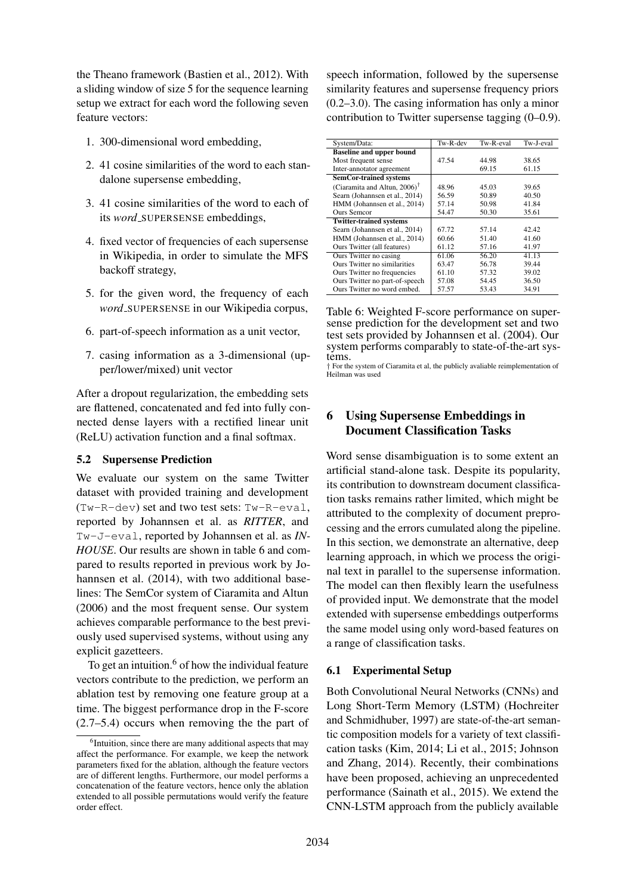the Theano framework (Bastien et al., 2012). With a sliding window of size 5 for the sequence learning setup we extract for each word the following seven feature vectors:

- 1. 300-dimensional word embedding,
- 2. 41 cosine similarities of the word to each standalone supersense embedding,
- 3. 41 cosine similarities of the word to each of its *word\_SUPERSENSE* embeddings,
- 4. fixed vector of frequencies of each supersense in Wikipedia, in order to simulate the MFS backoff strategy,
- 5. for the given word, the frequency of each *word*\_SUPERSENSE in our Wikipedia corpus,
- 6. part-of-speech information as a unit vector,
- 7. casing information as a 3-dimensional (upper/lower/mixed) unit vector

After a dropout regularization, the embedding sets are flattened, concatenated and fed into fully connected dense layers with a rectified linear unit (ReLU) activation function and a final softmax.

#### 5.2 Supersense Prediction

We evaluate our system on the same Twitter dataset with provided training and development (Tw-R-dev) set and two test sets: Tw-R-eval, reported by Johannsen et al. as *RITTER*, and Tw-J-eval, reported by Johannsen et al. as *IN-HOUSE*. Our results are shown in table 6 and compared to results reported in previous work by Johannsen et al. (2014), with two additional baselines: The SemCor system of Ciaramita and Altun (2006) and the most frequent sense. Our system achieves comparable performance to the best previously used supervised systems, without using any explicit gazetteers.

To get an intuition. $6$  of how the individual feature vectors contribute to the prediction, we perform an ablation test by removing one feature group at a time. The biggest performance drop in the F-score (2.7–5.4) occurs when removing the the part of speech information, followed by the supersense similarity features and supersense frequency priors (0.2–3.0). The casing information has only a minor contribution to Twitter supersense tagging (0–0.9).

| System/Data:                             | Tw-R-dev | Tw-R-eval | Tw-J-eval |
|------------------------------------------|----------|-----------|-----------|
| <b>Baseline and upper bound</b>          |          |           |           |
| Most frequent sense                      | 47.54    | 44.98     | 38.65     |
| Inter-annotator agreement                |          | 69.15     | 61.15     |
| <b>SemCor-trained systems</b>            |          |           |           |
| (Ciaramita and Altun, 2006) <sup>†</sup> | 48.96    | 45.03     | 39.65     |
| Searn (Johannsen et al., 2014)           | 56.59    | 50.89     | 40.50     |
| HMM (Johannsen et al., 2014)             | 57.14    | 50.98     | 41.84     |
| <b>Ours Semcor</b>                       | 54.47    | 50.30     | 35.61     |
| <b>Twitter-trained systems</b>           |          |           |           |
| Searn (Johannsen et al., 2014)           | 67.72    | 57.14     | 42.42     |
| HMM (Johannsen et al., 2014)             | 60.66    | 51.40     | 41.60     |
| Ours Twitter (all features)              | 61.12    | 57.16     | 41.97     |
| Ours Twitter no casing                   | 61.06    | 56.20     | 41.13     |
| Ours Twitter no similarities             | 63.47    | 56.78     | 39.44     |
| Ours Twitter no frequencies              | 61.10    | 57.32     | 39.02     |
| Ours Twitter no part-of-speech           | 57.08    | 54.45     | 36.50     |
| Ours Twitter no word embed.              | 57.57    | 53.43     | 34.91     |

Table 6: Weighted F-score performance on supersense prediction for the development set and two test sets provided by Johannsen et al. (2004). Our system performs comparably to state-of-the-art systems.

† For the system of Ciaramita et al, the publicly avaliable reimplementation of Heilman was used

# 6 Using Supersense Embeddings in Document Classification Tasks

Word sense disambiguation is to some extent an artificial stand-alone task. Despite its popularity, its contribution to downstream document classification tasks remains rather limited, which might be attributed to the complexity of document preprocessing and the errors cumulated along the pipeline. In this section, we demonstrate an alternative, deep learning approach, in which we process the original text in parallel to the supersense information. The model can then flexibly learn the usefulness of provided input. We demonstrate that the model extended with supersense embeddings outperforms the same model using only word-based features on a range of classification tasks.

#### 6.1 Experimental Setup

Both Convolutional Neural Networks (CNNs) and Long Short-Term Memory (LSTM) (Hochreiter and Schmidhuber, 1997) are state-of-the-art semantic composition models for a variety of text classification tasks (Kim, 2014; Li et al., 2015; Johnson and Zhang, 2014). Recently, their combinations have been proposed, achieving an unprecedented performance (Sainath et al., 2015). We extend the CNN-LSTM approach from the publicly available

<sup>&</sup>lt;sup>6</sup>Intuition, since there are many additional aspects that may affect the performance. For example, we keep the network parameters fixed for the ablation, although the feature vectors are of different lengths. Furthermore, our model performs a concatenation of the feature vectors, hence only the ablation extended to all possible permutations would verify the feature order effect.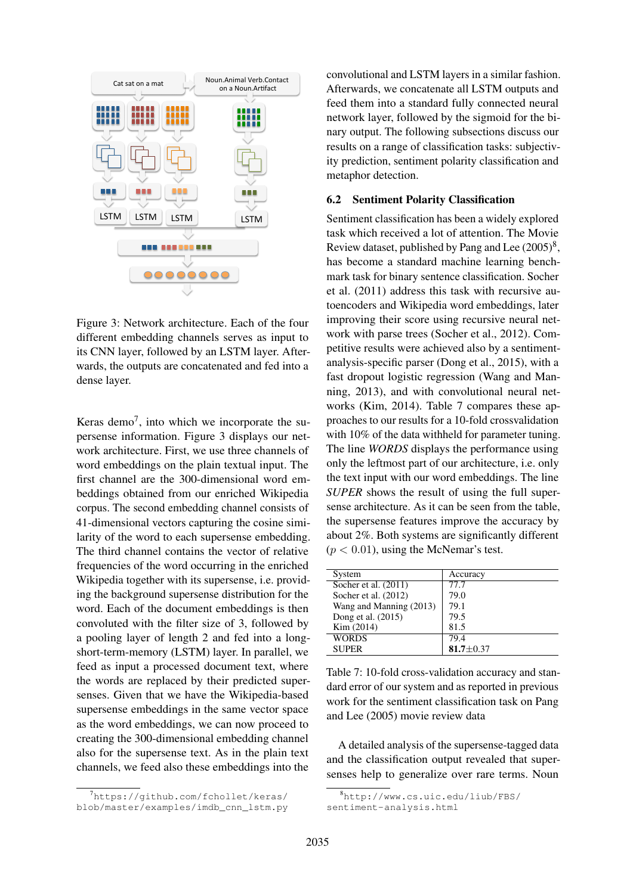

Figure 3: Network architecture. Each of the four different embedding channels serves as input to its CNN layer, followed by an LSTM layer. Afterwards, the outputs are concatenated and fed into a dense layer.

Keras demo<sup>7</sup>, into which we incorporate the supersense information. Figure 3 displays our network architecture. First, we use three channels of word embeddings on the plain textual input. The first channel are the 300-dimensional word embeddings obtained from our enriched Wikipedia corpus. The second embedding channel consists of 41-dimensional vectors capturing the cosine similarity of the word to each supersense embedding. The third channel contains the vector of relative frequencies of the word occurring in the enriched Wikipedia together with its supersense, i.e. providing the background supersense distribution for the word. Each of the document embeddings is then convoluted with the filter size of 3, followed by a pooling layer of length 2 and fed into a longshort-term-memory (LSTM) layer. In parallel, we feed as input a processed document text, where the words are replaced by their predicted supersenses. Given that we have the Wikipedia-based supersense embeddings in the same vector space as the word embeddings, we can now proceed to creating the 300-dimensional embedding channel also for the supersense text. As in the plain text channels, we feed also these embeddings into the

7https://qithub.com/fchollet/keras/ blob/master/examples/imdb\_cnn\_lstm.py

convolutional and LSTM layers in a similar fashion. Afterwards, we concatenate all LSTM outputs and feed them into a standard fully connected neural network layer, followed by the sigmoid for the binary output. The following subsections discuss our results on a range of classification tasks: subjectivity prediction, sentiment polarity classification and metaphor detection.

#### 6.2 Sentiment Polarity Classification

Sentiment classification has been a widely explored task which received a lot of attention. The Movie Review dataset, published by Pang and Lee  $(2005)^8$ , has become a standard machine learning benchmark task for binary sentence classification. Socher et al. (2011) address this task with recursive autoencoders and Wikipedia word embeddings, later improving their score using recursive neural network with parse trees (Socher et al., 2012). Competitive results were achieved also by a sentimentanalysis-specific parser (Dong et al., 2015), with a fast dropout logistic regression (Wang and Manning, 2013), and with convolutional neural networks (Kim, 2014). Table 7 compares these approaches to our results for a 10-fold crossvalidation with 10% of the data withheld for parameter tuning. The line *WORDS* displays the performance using only the leftmost part of our architecture, i.e. only the text input with our word embeddings. The line *SUPER* shows the result of using the full supersense architecture. As it can be seen from the table, the supersense features improve the accuracy by about 2%. Both systems are significantly different  $(p < 0.01)$ , using the McNemar's test.

| System                  | Accuracy      |
|-------------------------|---------------|
| Socher et al. $(2011)$  | 77.7          |
| Socher et al. (2012)    | 79.0          |
| Wang and Manning (2013) | 79.1          |
| Dong et al. (2015)      | 79.5          |
| Kim (2014)              | 81.5          |
| <b>WORDS</b>            | 79.4          |
| <b>SUPER</b>            | $81.7 + 0.37$ |
|                         |               |

Table 7: 10-fold cross-validation accuracy and standard error of our system and as reported in previous work for the sentiment classification task on Pang and Lee (2005) movie review data

A detailed analysis of the supersense-tagged data and the classification output revealed that supersenses help to generalize over rare terms. Noun

<sup>8</sup>http://www.cs.uic.edu/liub/FBS/ sentiment-analysis.html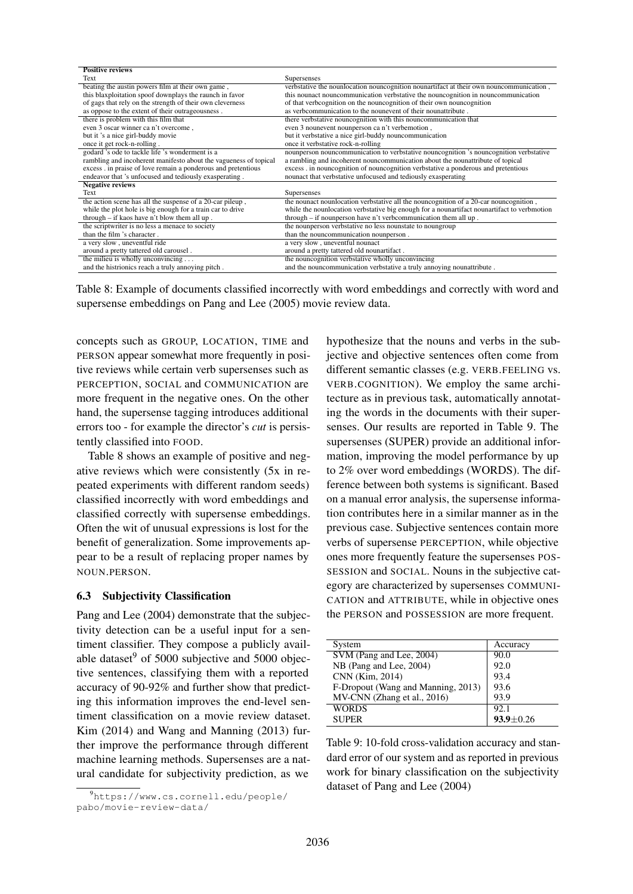| <b>Positive reviews</b>                                          |                                                                                             |
|------------------------------------------------------------------|---------------------------------------------------------------------------------------------|
| Text                                                             | Supersenses                                                                                 |
| beating the austin powers film at their own game,                | verbstative the nounlocation nouncognition nounartifact at their own nouncommunication,     |
| this blaxploitation spoof downplays the raunch in favor          | this nounact nouncommunication verbstative the nouncognition in nouncommunication           |
| of gags that rely on the strength of their own cleverness        | of that verbcognition on the nouncognition of their own nouncognition                       |
| as oppose to the extent of their outrageousness.                 | as verbcommunication to the nounevent of their nounattribute.                               |
| there is problem with this film that                             | there verbstative nouncognition with this nouncommunication that                            |
| even 3 oscar winner ca n't overcome.                             | even 3 nounevent nounperson can't verbemotion,                                              |
| but it 's a nice girl-buddy movie                                | but it verbstative a nice girl-buddy nouncommunication                                      |
| once it get rock-n-rolling.                                      | once it verbstative rock-n-rolling                                                          |
| godard 's ode to tackle life 's wonderment is a                  | nounperson nouncommunication to verbstative nouncognition 's nouncognition verbstative      |
| rambling and incoherent manifesto about the vagueness of topical | a rambling and incoherent nouncommunication about the nounattribute of topical              |
| excess . in praise of love remain a ponderous and pretentious    | excess . in nouncognition of nouncognition verbstative a ponderous and pretentious          |
| endeavor that 's unfocused and tediously exasperating.           | nounact that verbstative unfocused and tediously exasperating                               |
| <b>Negative reviews</b>                                          |                                                                                             |
| Text                                                             | Supersenses                                                                                 |
| the action scene has all the suspense of a 20-car pileup,        | the nounact nounlocation verbstative all the nouncognition of a 20-car nouncognition,       |
| while the plot hole is big enough for a train car to drive       | while the nounlocation verbstative big enough for a nounartifact nounartifact to verbmotion |
| through $-$ if kaos have n't blow them all up.                   | through - if nounperson have n't verbcommunication them all up.                             |
| the scriptwriter is no less a menace to society                  | the nounperson verbstative no less nounstate to noungroup                                   |
| than the film 's character.                                      | than the nouncommunication nounperson.                                                      |
| a very slow, uneventful ride                                     | a very slow, uneventful nounact                                                             |
| around a pretty tattered old carousel.                           | around a pretty tattered old nounartifact.                                                  |
| the milieu is wholly unconvincing $\dots$                        | the nouncognition verbstative wholly unconvincing                                           |
| and the histrionics reach a truly annoying pitch.                | and the nouncommunication verbstative a truly annoying nounattribute.                       |

Table 8: Example of documents classified incorrectly with word embeddings and correctly with word and supersense embeddings on Pang and Lee (2005) movie review data.

concepts such as GROUP, LOCATION, TIME and PERSON appear somewhat more frequently in positive reviews while certain verb supersenses such as PERCEPTION, SOCIAL and COMMUNICATION are more frequent in the negative ones. On the other hand, the supersense tagging introduces additional errors too - for example the director's *cut* is persistently classified into FOOD.

Table 8 shows an example of positive and negative reviews which were consistently (5x in repeated experiments with different random seeds) classified incorrectly with word embeddings and classified correctly with supersense embeddings. Often the wit of unusual expressions is lost for the benefit of generalization. Some improvements appear to be a result of replacing proper names by NOUN.PERSON.

#### 6.3 Subjectivity Classification

Pang and Lee (2004) demonstrate that the subjectivity detection can be a useful input for a sentiment classifier. They compose a publicly available dataset $9$  of 5000 subjective and 5000 objective sentences, classifying them with a reported accuracy of 90-92% and further show that predicting this information improves the end-level sentiment classification on a movie review dataset. Kim (2014) and Wang and Manning (2013) further improve the performance through different machine learning methods. Supersenses are a natural candidate for subjectivity prediction, as we

hypothesize that the nouns and verbs in the subjective and objective sentences often come from different semantic classes (e.g. VERB.FEELING vs. VERB.COGNITION). We employ the same architecture as in previous task, automatically annotating the words in the documents with their supersenses. Our results are reported in Table 9. The supersenses (SUPER) provide an additional information, improving the model performance by up to 2% over word embeddings (WORDS). The difference between both systems is significant. Based on a manual error analysis, the supersense information contributes here in a similar manner as in the previous case. Subjective sentences contain more verbs of supersense PERCEPTION, while objective ones more frequently feature the supersenses POS-SESSION and SOCIAL. Nouns in the subjective category are characterized by supersenses COMMUNI-CATION and ATTRIBUTE, while in objective ones the PERSON and POSSESSION are more frequent.

| System                             | Accuracy        |
|------------------------------------|-----------------|
| SVM (Pang and Lee, 2004)           | 90.0            |
| NB (Pang and Lee, 2004)            | 92.0            |
| CNN (Kim, 2014)                    | 93.4            |
| F-Dropout (Wang and Manning, 2013) | 93.6            |
| MV-CNN (Zhang et al., 2016)        | 93.9            |
| <b>WORDS</b>                       | 92.1            |
| <b>SUPER</b>                       | $93.9 \pm 0.26$ |

Table 9: 10-fold cross-validation accuracy and standard error of our system and as reported in previous work for binary classification on the subjectivity dataset of Pang and Lee (2004)

<sup>9</sup>https://www.cs.cornell.edu/people/ pabo/movie-review-data/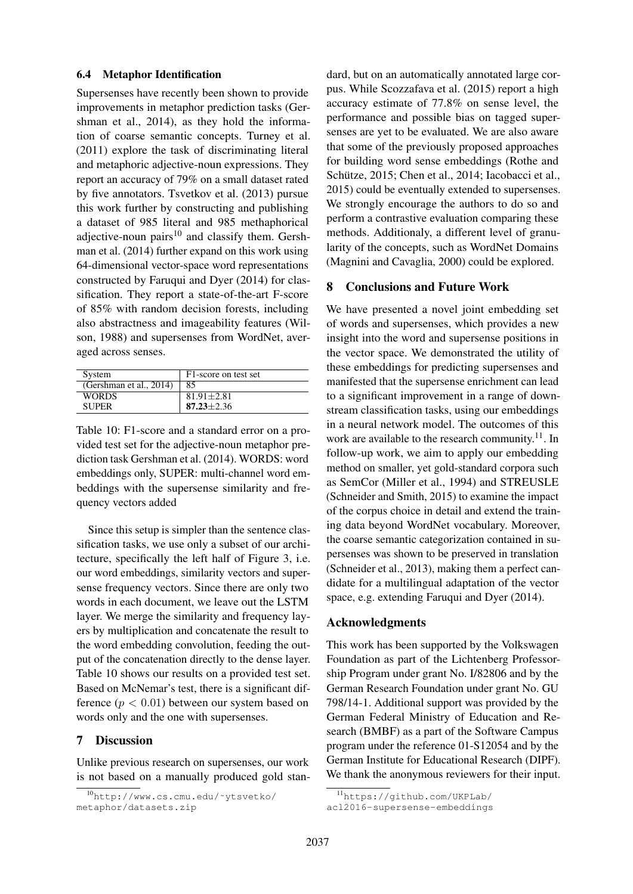#### 6.4 Metaphor Identification

Supersenses have recently been shown to provide improvements in metaphor prediction tasks (Gershman et al., 2014), as they hold the information of coarse semantic concepts. Turney et al. (2011) explore the task of discriminating literal and metaphoric adjective-noun expressions. They report an accuracy of 79% on a small dataset rated by five annotators. Tsvetkov et al. (2013) pursue this work further by constructing and publishing a dataset of 985 literal and 985 methaphorical adjective-noun pairs $10$  and classify them. Gershman et al. (2014) further expand on this work using 64-dimensional vector-space word representations constructed by Faruqui and Dyer (2014) for classification. They report a state-of-the-art F-score of 85% with random decision forests, including also abstractness and imageability features (Wilson, 1988) and supersenses from WordNet, averaged across senses.

| System                  | F1-score on test set |
|-------------------------|----------------------|
| (Gershman et al., 2014) | 85                   |
| <b>WORDS</b>            | $81.91 \pm 2.81$     |
| <b>SUPER</b>            | $87.23 + 2.36$       |

Table 10: F1-score and a standard error on a provided test set for the adjective-noun metaphor prediction task Gershman et al. (2014). WORDS: word embeddings only, SUPER: multi-channel word embeddings with the supersense similarity and frequency vectors added

Since this setup is simpler than the sentence classification tasks, we use only a subset of our architecture, specifically the left half of Figure 3, i.e. our word embeddings, similarity vectors and supersense frequency vectors. Since there are only two words in each document, we leave out the LSTM layer. We merge the similarity and frequency layers by multiplication and concatenate the result to the word embedding convolution, feeding the output of the concatenation directly to the dense layer. Table 10 shows our results on a provided test set. Based on McNemar's test, there is a significant difference  $(p < 0.01)$  between our system based on words only and the one with supersenses.

# 7 Discussion

Unlike previous research on supersenses, our work is not based on a manually produced gold stan-

dard, but on an automatically annotated large corpus. While Scozzafava et al. (2015) report a high accuracy estimate of 77.8% on sense level, the performance and possible bias on tagged supersenses are yet to be evaluated. We are also aware that some of the previously proposed approaches for building word sense embeddings (Rothe and Schütze, 2015; Chen et al., 2014; Iacobacci et al., 2015) could be eventually extended to supersenses. We strongly encourage the authors to do so and perform a contrastive evaluation comparing these methods. Additionaly, a different level of granularity of the concepts, such as WordNet Domains (Magnini and Cavaglia, 2000) could be explored.

# 8 Conclusions and Future Work

We have presented a novel joint embedding set of words and supersenses, which provides a new insight into the word and supersense positions in the vector space. We demonstrated the utility of these embeddings for predicting supersenses and manifested that the supersense enrichment can lead to a significant improvement in a range of downstream classification tasks, using our embeddings in a neural network model. The outcomes of this work are available to the research community.<sup>11</sup>. In follow-up work, we aim to apply our embedding method on smaller, yet gold-standard corpora such as SemCor (Miller et al., 1994) and STREUSLE (Schneider and Smith, 2015) to examine the impact of the corpus choice in detail and extend the training data beyond WordNet vocabulary. Moreover, the coarse semantic categorization contained in supersenses was shown to be preserved in translation (Schneider et al., 2013), making them a perfect candidate for a multilingual adaptation of the vector space, e.g. extending Faruqui and Dyer (2014).

#### Acknowledgments

This work has been supported by the Volkswagen Foundation as part of the Lichtenberg Professorship Program under grant No. I/82806 and by the German Research Foundation under grant No. GU 798/14-1. Additional support was provided by the German Federal Ministry of Education and Research (BMBF) as a part of the Software Campus program under the reference 01-S12054 and by the German Institute for Educational Research (DIPF). We thank the anonymous reviewers for their input.

<sup>10</sup>http://www.cs.cmu.edu/˜ytsvetko/ metaphor/datasets.zip

<sup>11</sup>https://github.com/UKPLab/

acl2016-supersense-embeddings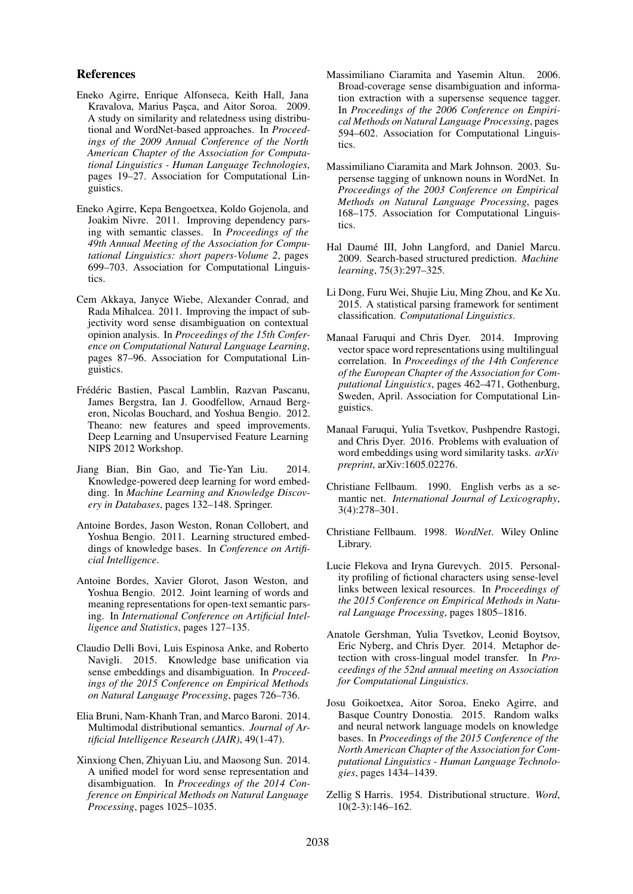#### References

- Eneko Agirre, Enrique Alfonseca, Keith Hall, Jana Kravalova, Marius Pasca, and Aitor Soroa. 2009. A study on similarity and relatedness using distributional and WordNet-based approaches. In *Proceedings of the 2009 Annual Conference of the North American Chapter of the Association for Computational Linguistics - Human Language Technologies*, pages 19–27. Association for Computational Linguistics.
- Eneko Agirre, Kepa Bengoetxea, Koldo Gojenola, and Joakim Nivre. 2011. Improving dependency parsing with semantic classes. In *Proceedings of the 49th Annual Meeting of the Association for Computational Linguistics: short papers-Volume 2*, pages 699–703. Association for Computational Linguistics.
- Cem Akkaya, Janyce Wiebe, Alexander Conrad, and Rada Mihalcea. 2011. Improving the impact of subjectivity word sense disambiguation on contextual opinion analysis. In *Proceedings of the 15th Conference on Computational Natural Language Learning*, pages 87–96. Association for Computational Linguistics.
- Frédéric Bastien, Pascal Lamblin, Razvan Pascanu, James Bergstra, Ian J. Goodfellow, Arnaud Bergeron, Nicolas Bouchard, and Yoshua Bengio. 2012. Theano: new features and speed improvements. Deep Learning and Unsupervised Feature Learning NIPS 2012 Workshop.
- Jiang Bian, Bin Gao, and Tie-Yan Liu. 2014. Knowledge-powered deep learning for word embedding. In *Machine Learning and Knowledge Discovery in Databases*, pages 132–148. Springer.
- Antoine Bordes, Jason Weston, Ronan Collobert, and Yoshua Bengio. 2011. Learning structured embeddings of knowledge bases. In *Conference on Artificial Intelligence*.
- Antoine Bordes, Xavier Glorot, Jason Weston, and Yoshua Bengio. 2012. Joint learning of words and meaning representations for open-text semantic parsing. In *International Conference on Artificial Intelligence and Statistics*, pages 127–135.
- Claudio Delli Bovi, Luis Espinosa Anke, and Roberto Navigli. 2015. Knowledge base unification via sense embeddings and disambiguation. In *Proceedings of the 2015 Conference on Empirical Methods on Natural Language Processing*, pages 726–736.
- Elia Bruni, Nam-Khanh Tran, and Marco Baroni. 2014. Multimodal distributional semantics. *Journal of Artificial Intelligence Research (JAIR)*, 49(1-47).
- Xinxiong Chen, Zhiyuan Liu, and Maosong Sun. 2014. A unified model for word sense representation and disambiguation. In *Proceedings of the 2014 Conference on Empirical Methods on Natural Language Processing*, pages 1025–1035.
- Massimiliano Ciaramita and Yasemin Altun. 2006. Broad-coverage sense disambiguation and information extraction with a supersense sequence tagger. In *Proceedings of the 2006 Conference on Empirical Methods on Natural Language Processing*, pages 594–602. Association for Computational Linguistics.
- Massimiliano Ciaramita and Mark Johnson. 2003. Supersense tagging of unknown nouns in WordNet. In *Proceedings of the 2003 Conference on Empirical Methods on Natural Language Processing*, pages 168–175. Association for Computational Linguistics.
- Hal Daumé III, John Langford, and Daniel Marcu. 2009. Search-based structured prediction. *Machine learning*, 75(3):297–325.
- Li Dong, Furu Wei, Shujie Liu, Ming Zhou, and Ke Xu. 2015. A statistical parsing framework for sentiment classification. *Computational Linguistics*.
- Manaal Faruqui and Chris Dyer. 2014. Improving vector space word representations using multilingual correlation. In *Proceedings of the 14th Conference of the European Chapter of the Association for Computational Linguistics*, pages 462–471, Gothenburg, Sweden, April. Association for Computational Linguistics.
- Manaal Faruqui, Yulia Tsvetkov, Pushpendre Rastogi, and Chris Dyer. 2016. Problems with evaluation of word embeddings using word similarity tasks. *arXiv preprint*, arXiv:1605.02276.
- Christiane Fellbaum. 1990. English verbs as a semantic net. *International Journal of Lexicography*, 3(4):278–301.
- Christiane Fellbaum. 1998. *WordNet*. Wiley Online Library.
- Lucie Flekova and Iryna Gurevych. 2015. Personality profiling of fictional characters using sense-level links between lexical resources. In *Proceedings of the 2015 Conference on Empirical Methods in Natural Language Processing*, pages 1805–1816.
- Anatole Gershman, Yulia Tsvetkov, Leonid Boytsov, Eric Nyberg, and Chris Dyer. 2014. Metaphor detection with cross-lingual model transfer. In *Proceedings of the 52nd annual meeting on Association for Computational Linguistics*.
- Josu Goikoetxea, Aitor Soroa, Eneko Agirre, and Basque Country Donostia. 2015. Random walks and neural network language models on knowledge bases. In *Proceedings of the 2015 Conference of the North American Chapter of the Association for Computational Linguistics - Human Language Technologies*, pages 1434–1439.
- Zellig S Harris. 1954. Distributional structure. *Word*, 10(2-3):146–162.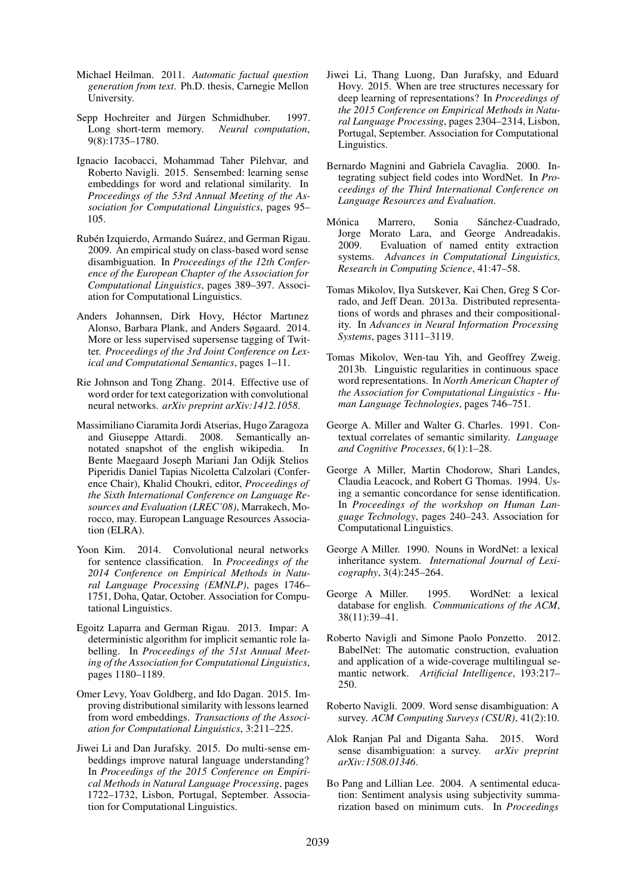- Michael Heilman. 2011. *Automatic factual question generation from text*. Ph.D. thesis, Carnegie Mellon University.
- Sepp Hochreiter and Jürgen Schmidhuber. 1997. Long short-term memory. *Neural computation*, 9(8):1735–1780.
- Ignacio Iacobacci, Mohammad Taher Pilehvar, and Roberto Navigli. 2015. Sensembed: learning sense embeddings for word and relational similarity. In *Proceedings of the 53rd Annual Meeting of the Association for Computational Linguistics*, pages 95– 105.
- Rubén Izquierdo, Armando Suárez, and German Rigau. 2009. An empirical study on class-based word sense disambiguation. In *Proceedings of the 12th Conference of the European Chapter of the Association for Computational Linguistics*, pages 389–397. Association for Computational Linguistics.
- Anders Johannsen, Dirk Hovy, Héctor Martınez Alonso, Barbara Plank, and Anders Søgaard. 2014. More or less supervised supersense tagging of Twitter. *Proceedings of the 3rd Joint Conference on Lexical and Computational Semantics*, pages 1–11.
- Rie Johnson and Tong Zhang. 2014. Effective use of word order for text categorization with convolutional neural networks. *arXiv preprint arXiv:1412.1058*.
- Massimiliano Ciaramita Jordi Atserias, Hugo Zaragoza and Giuseppe Attardi. 2008. Semantically annotated snapshot of the english wikipedia. In Bente Maegaard Joseph Mariani Jan Odijk Stelios Piperidis Daniel Tapias Nicoletta Calzolari (Conference Chair), Khalid Choukri, editor, *Proceedings of the Sixth International Conference on Language Resources and Evaluation (LREC'08)*, Marrakech, Morocco, may. European Language Resources Association (ELRA).
- Yoon Kim. 2014. Convolutional neural networks for sentence classification. In *Proceedings of the 2014 Conference on Empirical Methods in Natural Language Processing (EMNLP)*, pages 1746– 1751, Doha, Qatar, October. Association for Computational Linguistics.
- Egoitz Laparra and German Rigau. 2013. Impar: A deterministic algorithm for implicit semantic role labelling. In *Proceedings of the 51st Annual Meeting of the Association for Computational Linguistics*, pages 1180–1189.
- Omer Levy, Yoav Goldberg, and Ido Dagan. 2015. Improving distributional similarity with lessons learned from word embeddings. *Transactions of the Association for Computational Linguistics*, 3:211–225.
- Jiwei Li and Dan Jurafsky. 2015. Do multi-sense embeddings improve natural language understanding? In *Proceedings of the 2015 Conference on Empirical Methods in Natural Language Processing*, pages 1722–1732, Lisbon, Portugal, September. Association for Computational Linguistics.
- Jiwei Li, Thang Luong, Dan Jurafsky, and Eduard Hovy. 2015. When are tree structures necessary for deep learning of representations? In *Proceedings of the 2015 Conference on Empirical Methods in Natural Language Processing*, pages 2304–2314, Lisbon, Portugal, September. Association for Computational Linguistics.
- Bernardo Magnini and Gabriela Cavaglia. 2000. Integrating subject field codes into WordNet. In *Proceedings of the Third International Conference on Language Resources and Evaluation*.
- Mónica Marrero, Sonia Sánchez-Cuadrado, Jorge Morato Lara, and George Andreadakis. 2009. Evaluation of named entity extraction systems. *Advances in Computational Linguistics, Research in Computing Science*, 41:47–58.
- Tomas Mikolov, Ilya Sutskever, Kai Chen, Greg S Corrado, and Jeff Dean. 2013a. Distributed representations of words and phrases and their compositionality. In *Advances in Neural Information Processing Systems*, pages 3111–3119.
- Tomas Mikolov, Wen-tau Yih, and Geoffrey Zweig. 2013b. Linguistic regularities in continuous space word representations. In *North American Chapter of the Association for Computational Linguistics - Human Language Technologies*, pages 746–751.
- George A. Miller and Walter G. Charles. 1991. Contextual correlates of semantic similarity. *Language and Cognitive Processes*, 6(1):1–28.
- George A Miller, Martin Chodorow, Shari Landes, Claudia Leacock, and Robert G Thomas. 1994. Using a semantic concordance for sense identification. In *Proceedings of the workshop on Human Language Technology*, pages 240–243. Association for Computational Linguistics.
- George A Miller. 1990. Nouns in WordNet: a lexical inheritance system. *International Journal of Lexicography*, 3(4):245–264.
- George A Miller. 1995. WordNet: a lexical database for english. *Communications of the ACM*, 38(11):39–41.
- Roberto Navigli and Simone Paolo Ponzetto. 2012. BabelNet: The automatic construction, evaluation and application of a wide-coverage multilingual semantic network. *Artificial Intelligence*, 193:217– 250.
- Roberto Navigli. 2009. Word sense disambiguation: A survey. *ACM Computing Surveys (CSUR)*, 41(2):10.
- Alok Ranjan Pal and Diganta Saha. 2015. Word sense disambiguation: a survey. *arXiv preprint arXiv:1508.01346*.
- Bo Pang and Lillian Lee. 2004. A sentimental education: Sentiment analysis using subjectivity summarization based on minimum cuts. In *Proceedings*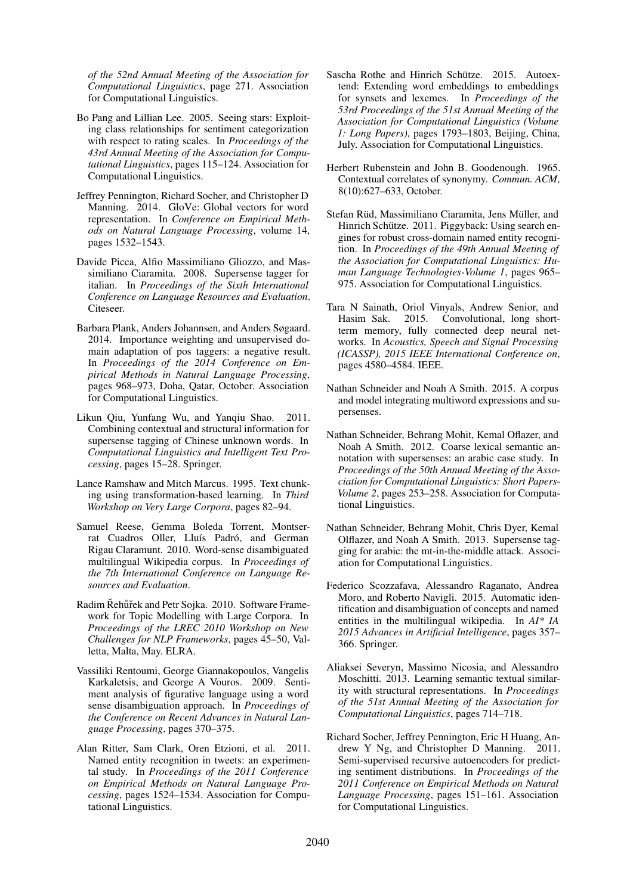*of the 52nd Annual Meeting of the Association for Computational Linguistics*, page 271. Association for Computational Linguistics.

- Bo Pang and Lillian Lee. 2005. Seeing stars: Exploiting class relationships for sentiment categorization with respect to rating scales. In *Proceedings of the 43rd Annual Meeting of the Association for Computational Linguistics*, pages 115–124. Association for Computational Linguistics.
- Jeffrey Pennington, Richard Socher, and Christopher D Manning. 2014. GloVe: Global vectors for word representation. In *Conference on Empirical Methods on Natural Language Processing*, volume 14, pages 1532–1543.
- Davide Picca, Alfio Massimiliano Gliozzo, and Massimiliano Ciaramita. 2008. Supersense tagger for italian. In *Proceedings of the Sixth International Conference on Language Resources and Evaluation*. Citeseer.
- Barbara Plank, Anders Johannsen, and Anders Søgaard. 2014. Importance weighting and unsupervised domain adaptation of pos taggers: a negative result. In *Proceedings of the 2014 Conference on Empirical Methods in Natural Language Processing*, pages 968–973, Doha, Qatar, October. Association for Computational Linguistics.
- Likun Qiu, Yunfang Wu, and Yanqiu Shao. 2011. Combining contextual and structural information for supersense tagging of Chinese unknown words. In *Computational Linguistics and Intelligent Text Processing*, pages 15–28. Springer.
- Lance Ramshaw and Mitch Marcus. 1995. Text chunking using transformation-based learning. In *Third Workshop on Very Large Corpora*, pages 82–94.
- Samuel Reese, Gemma Boleda Torrent, Montserrat Cuadros Oller, Lluís Padró, and German Rigau Claramunt. 2010. Word-sense disambiguated multilingual Wikipedia corpus. In *Proceedings of the 7th International Conference on Language Resources and Evaluation*.
- Radim Řehůřek and Petr Sojka. 2010. Software Framework for Topic Modelling with Large Corpora. In *Proceedings of the LREC 2010 Workshop on New Challenges for NLP Frameworks*, pages 45–50, Valletta, Malta, May. ELRA.
- Vassiliki Rentoumi, George Giannakopoulos, Vangelis Karkaletsis, and George A Vouros. 2009. Sentiment analysis of figurative language using a word sense disambiguation approach. In *Proceedings of the Conference on Recent Advances in Natural Language Processing*, pages 370–375.
- Alan Ritter, Sam Clark, Oren Etzioni, et al. 2011. Named entity recognition in tweets: an experimental study. In *Proceedings of the 2011 Conference on Empirical Methods on Natural Language Processing*, pages 1524–1534. Association for Computational Linguistics.
- Sascha Rothe and Hinrich Schütze. 2015. Autoextend: Extending word embeddings to embeddings for synsets and lexemes. In *Proceedings of the 53rd Proceedings of the 51st Annual Meeting of the Association for Computational Linguistics (Volume 1: Long Papers)*, pages 1793–1803, Beijing, China, July. Association for Computational Linguistics.
- Herbert Rubenstein and John B. Goodenough. 1965. Contextual correlates of synonymy. *Commun. ACM*, 8(10):627–633, October.
- Stefan Rüd, Massimiliano Ciaramita, Jens Müller, and Hinrich Schütze. 2011. Piggyback: Using search engines for robust cross-domain named entity recognition. In *Proceedings of the 49th Annual Meeting of the Association for Computational Linguistics: Human Language Technologies-Volume 1*, pages 965– 975. Association for Computational Linguistics.
- Tara N Sainath, Oriol Vinyals, Andrew Senior, and Hasim Sak. 2015. Convolutional, long shortterm memory, fully connected deep neural networks. In *Acoustics, Speech and Signal Processing (ICASSP), 2015 IEEE International Conference on*, pages 4580–4584. IEEE.
- Nathan Schneider and Noah A Smith. 2015. A corpus and model integrating multiword expressions and supersenses.
- Nathan Schneider, Behrang Mohit, Kemal Oflazer, and Noah A Smith. 2012. Coarse lexical semantic annotation with supersenses: an arabic case study. In *Proceedings of the 50th Annual Meeting of the Association for Computational Linguistics: Short Papers-Volume 2*, pages 253–258. Association for Computational Linguistics.
- Nathan Schneider, Behrang Mohit, Chris Dyer, Kemal Olflazer, and Noah A Smith. 2013. Supersense tagging for arabic: the mt-in-the-middle attack. Association for Computational Linguistics.
- Federico Scozzafava, Alessandro Raganato, Andrea Moro, and Roberto Navigli. 2015. Automatic identification and disambiguation of concepts and named entities in the multilingual wikipedia. In *AI\* IA 2015 Advances in Artificial Intelligence*, pages 357– 366. Springer.
- Aliaksei Severyn, Massimo Nicosia, and Alessandro Moschitti. 2013. Learning semantic textual similarity with structural representations. In *Proceedings of the 51st Annual Meeting of the Association for Computational Linguistics*, pages 714–718.
- Richard Socher, Jeffrey Pennington, Eric H Huang, Andrew Y Ng, and Christopher D Manning. 2011. Semi-supervised recursive autoencoders for predicting sentiment distributions. In *Proceedings of the 2011 Conference on Empirical Methods on Natural Language Processing*, pages 151–161. Association for Computational Linguistics.